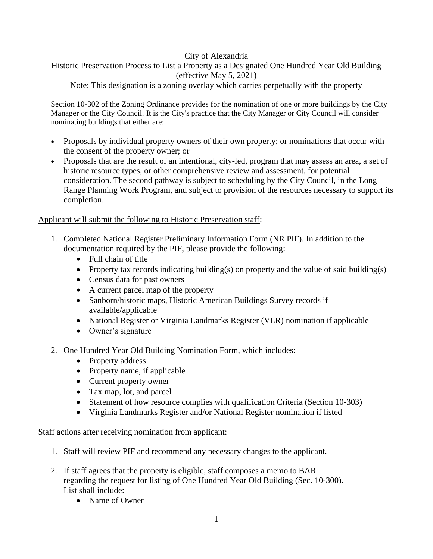#### City of Alexandria

# Historic Preservation Process to List a Property as a Designated One Hundred Year Old Building (effective May 5, 2021)

Note: This designation is a zoning overlay which carries perpetually with the property

Section 10-302 of the Zoning Ordinance provides for the nomination of one or more buildings by the City Manager or the City Council. It is the City's practice that the City Manager or City Council will consider nominating buildings that either are:

- Proposals by individual property owners of their own property; or nominations that occur with the consent of the property owner; or
- Proposals that are the result of an intentional, city-led, program that may assess an area, a set of historic resource types, or other comprehensive review and assessment, for potential consideration. The second pathway is subject to scheduling by the City Council, in the Long Range Planning Work Program, and subject to provision of the resources necessary to support its completion.

## Applicant will submit the following to Historic Preservation staff:

- 1. Completed National Register Preliminary Information Form (NR PIF). In addition to the documentation required by the PIF, please provide the following:
	- Full chain of title
	- Property tax records indicating building(s) on property and the value of said building(s)
	- Census data for past owners
	- A current parcel map of the property
	- Sanborn/historic maps, Historic American Buildings Survey records if available/applicable
	- National Register or Virginia Landmarks Register (VLR) nomination if applicable
	- Owner's signature
- 2. One Hundred Year Old Building Nomination Form, which includes:
	- Property address
	- Property name, if applicable
	- Current property owner
	- Tax map, lot, and parcel
	- Statement of how resource complies with qualification Criteria (Section 10-303)
	- Virginia Landmarks Register and/or National Register nomination if listed

#### Staff actions after receiving nomination from applicant:

- 1. Staff will review PIF and recommend any necessary changes to the applicant.
- 2. If staff agrees that the property is eligible, staff composes a memo to BAR regarding the request for listing of One Hundred Year Old Building (Sec. 10-300). List shall include:
	- Name of Owner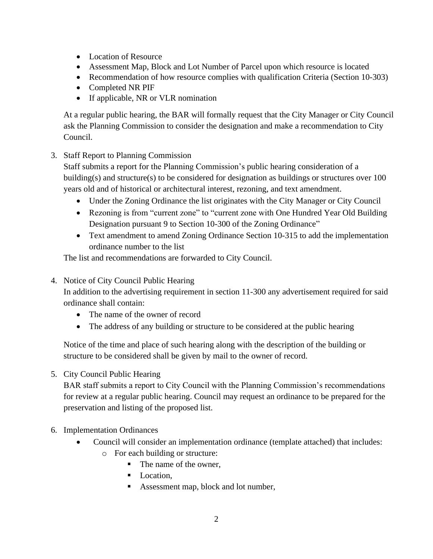- Location of Resource
- Assessment Map, Block and Lot Number of Parcel upon which resource is located
- Recommendation of how resource complies with qualification Criteria (Section 10-303)
- Completed NR PIF
- If applicable, NR or VLR nomination

At a regular public hearing, the BAR will formally request that the City Manager or City Council ask the Planning Commission to consider the designation and make a recommendation to City Council.

## 3. Staff Report to Planning Commission

Staff submits a report for the Planning Commission's public hearing consideration of a building(s) and structure(s) to be considered for designation as buildings or structures over 100 years old and of historical or architectural interest, rezoning, and text amendment.

- Under the Zoning Ordinance the list originates with the City Manager or City Council
- Rezoning is from "current zone" to "current zone with One Hundred Year Old Building Designation pursuant 9 to Section 10-300 of the Zoning Ordinance"
- Text amendment to amend Zoning Ordinance Section 10-315 to add the implementation ordinance number to the list

The list and recommendations are forwarded to City Council.

## 4. Notice of City Council Public Hearing

In addition to the advertising requirement in section 11-300 any advertisement required for said ordinance shall contain:

- The name of the owner of record
- The address of any building or structure to be considered at the public hearing

Notice of the time and place of such hearing along with the description of the building or structure to be considered shall be given by mail to the owner of record.

## 5. City Council Public Hearing

BAR staff submits a report to City Council with the Planning Commission's recommendations for review at a regular public hearing. Council may request an ordinance to be prepared for the preservation and listing of the proposed list.

## 6. Implementation Ordinances

- Council will consider an implementation ordinance (template attached) that includes: o For each building or structure:
	- The name of the owner,
	- Location,
	- Assessment map, block and lot number,